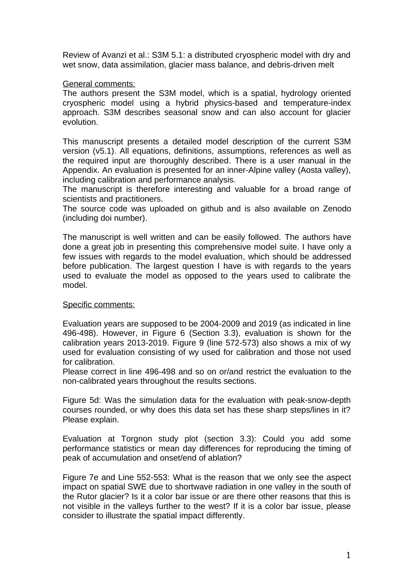Review of Avanzi et al.: S3M 5.1: a distributed cryospheric model with dry and wet snow, data assimilation, glacier mass balance, and debris-driven melt

## General comments:

The authors present the S3M model, which is a spatial, hydrology oriented cryospheric model using a hybrid physics-based and temperature-index approach. S3M describes seasonal snow and can also account for glacier evolution.

This manuscript presents a detailed model description of the current S3M version (v5.1). All equations, definitions, assumptions, references as well as the required input are thoroughly described. There is a user manual in the Appendix. An evaluation is presented for an inner-Alpine valley (Aosta valley), including calibration and performance analysis.

The manuscript is therefore interesting and valuable for a broad range of scientists and practitioners.

The source code was uploaded on github and is also available on Zenodo (including doi number).

The manuscript is well written and can be easily followed. The authors have done a great job in presenting this comprehensive model suite. I have only a few issues with regards to the model evaluation, which should be addressed before publication. The largest question I have is with regards to the years used to evaluate the model as opposed to the years used to calibrate the model.

## Specific comments:

Evaluation years are supposed to be 2004-2009 and 2019 (as indicated in line 496-498). However, in Figure 6 (Section 3.3), evaluation is shown for the calibration years 2013-2019. Figure 9 (line 572-573) also shows a mix of wy used for evaluation consisting of wy used for calibration and those not used for calibration.

Please correct in line 496-498 and so on or/and restrict the evaluation to the non-calibrated years throughout the results sections.

Figure 5d: Was the simulation data for the evaluation with peak-snow-depth courses rounded, or why does this data set has these sharp steps/lines in it? Please explain.

Evaluation at Torgnon study plot (section 3.3): Could you add some performance statistics or mean day differences for reproducing the timing of peak of accumulation and onset/end of ablation?

Figure 7e and Line 552-553: What is the reason that we only see the aspect impact on spatial SWE due to shortwave radiation in one valley in the south of the Rutor glacier? Is it a color bar issue or are there other reasons that this is not visible in the valleys further to the west? If it is a color bar issue, please consider to illustrate the spatial impact differently.